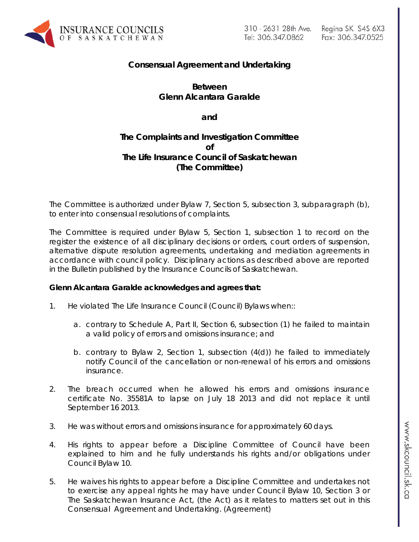

# **Consensual Agreement and Undertaking**

## **Between Glenn Alcantara Garalde**

**and**

## **The Complaints and Investigation Committee of The Life Insurance Council of Saskatchewan (The Committee)**

The Committee is authorized under Bylaw 7, Section 5, subsection 3, subparagraph (b), to enter into consensual resolutions of complaints.

The Committee is required under Bylaw 5, Section 1, subsection 1 to record on the register the existence of all disciplinary decisions or orders, court orders of suspension, alternative dispute resolution agreements, undertaking and mediation agreements in accordance with council policy. Disciplinary actions as described above are reported in the Bulletin published by the Insurance Councils of Saskatchewan.

### **Glenn Alcantara Garalde acknowledges and agrees that:**

- 1. He violated The Life Insurance Council (Council) Bylaws when::
	- a. contrary to Schedule A, Part II, Section 6, subsection (1) he failed to maintain a valid policy of errors and omissions insurance; and
	- b. contrary to Bylaw 2, Section 1, subsection (4(d)) he failed to immediately notify Council of the cancellation or non-renewal of his errors and omissions insurance.
- 2. The breach occurred when he allowed his errors and omissions insurance certificate No. 35581A to lapse on July 18 2013 and did not replace it until September 16 2013.
- 3. He was without errors and omissions insurance for approximately 60 days.
- 4. His rights to appear before a Discipline Committee of Council have been explained to him and he fully understands his rights and/or obligations under Council Bylaw 10.
- 5. He waives his rights to appear before a Discipline Committee and undertakes not to exercise any appeal rights he may have under Council Bylaw 10, Section 3 or *The Saskatchewan Insurance Act,* (the Act) as it relates to matters set out in this Consensual Agreement and Undertaking. (Agreement)